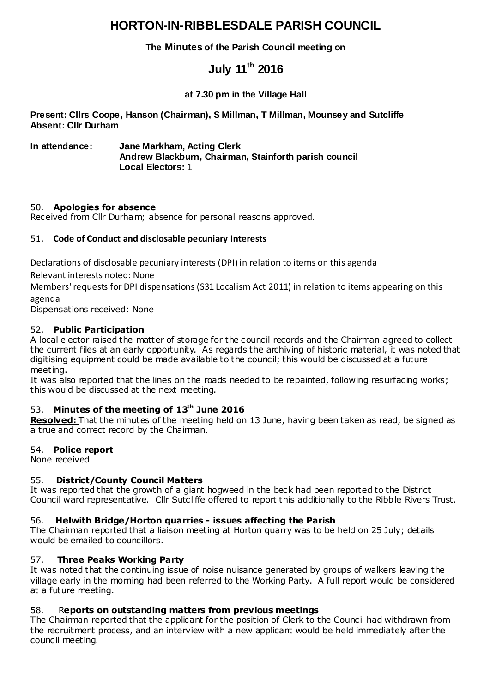# **HORTON-IN-RIBBLESDALE PARISH COUNCIL**

## **The Minutes of the Parish Council meeting on**

# **July 11th 2016**

# **at 7.30 pm in the Village Hall**

**Present: Cllrs Coope, Hanson (Chairman), S Millman, T Millman, Mounsey and Sutcliffe Absent: Cllr Durham**

**In attendance: Jane Markham, Acting Clerk Andrew Blackburn, Chairman, Stainforth parish council Local Electors:** 1

## 50. **Apologies for absence**

Received from Cllr Durham; absence for personal reasons approved.

## 51. **Code of Conduct and disclosable pecuniary Interests**

Declarations of disclosable pecuniary interests (DPI) in relation to items on this agenda

Relevant interests noted: None

Members' requests for DPI dispensations (S31 Localism Act 2011) in relation to items appearing on this agenda

Dispensations received: None

## 52. **Public Participation**

A local elector raised the matter of storage for the council records and the Chairman agreed to collect the current files at an early opportunity. As regards the archiving of historic material, it was noted that digitising equipment could be made available to the council; this would be discussed at a future meeting.

It was also reported that the lines on the roads needed to be repainted, following resurfacing works; this would be discussed at the next meeting.

## 53. **Minutes of the meeting of 13th June 2016**

**Resolved:** That the minutes of the meeting held on 13 June, having been taken as read, be signed as a true and correct record by the Chairman.

#### 54. **Police report**

None received

#### 55. **District/County Council Matters**

It was reported that the growth of a giant hogweed in the beck had been reported to the District Council ward representative. Cllr Sutcliffe offered to report this additionally to the Ribble Rivers Trust.

#### 56. **Helwith Bridge/Horton quarries - issues affecting the Parish**

The Chairman reported that a liaison meeting at Horton quarry was to be held on 25 July; details would be emailed to councillors.

#### 57. **Three Peaks Working Party**

It was noted that the continuing issue of noise nuisance generated by groups of walkers leaving the village early in the morning had been referred to the Working Party. A full report would be considered at a future meeting.

#### 58. R**eports on outstanding matters from previous meetings**

The Chairman reported that the applicant for the position of Clerk to the Council had withdrawn from the recruitment process, and an interview with a new applicant would be held immediately after the council meeting.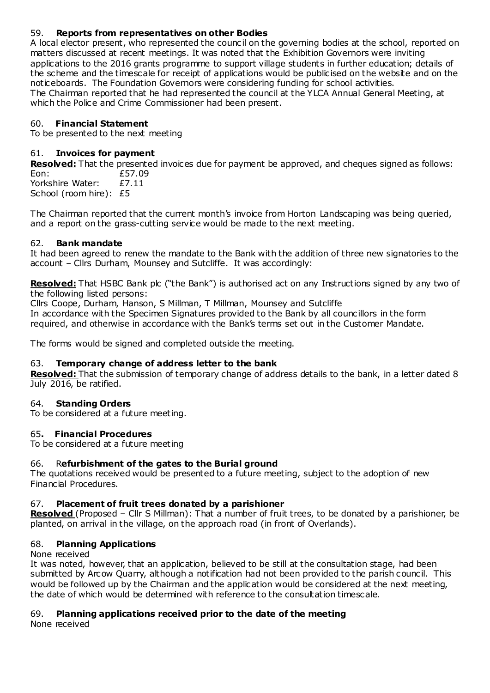## 59. **Reports from representatives on other Bodies**

A local elector present, who represented the council on the governing bodies at the school, reported on matters discussed at recent meetings. It was noted that the Exhibition Governors were inviting applications to the 2016 grants programme to support village students in further education; details of the scheme and the timescale for receipt of applications would be publicised on the website and on the noticeboards. The Foundation Governors were considering funding for school activities. The Chairman reported that he had represented the council at the YLCA Annual General Meeting, at which the Police and Crime Commissioner had been present.

## 60. **Financial Statement**

To be presented to the next meeting

#### 61. **Invoices for payment**

**Resolved:** That the presented invoices due for payment be approved, and cheques signed as follows: Eon: £57.09

Yorkshire Water: £7.11 School (room hire): £5

The Chairman reported that the current month's invoice from Horton Landscaping was being queried, and a report on the grass-cutting service would be made to the next meeting.

#### 62. **Bank mandate**

It had been agreed to renew the mandate to the Bank with the addition of three new signatories to the account – Cllrs Durham, Mounsey and Sutcliffe. It was accordingly:

**Resolved:** That HSBC Bank plc ("the Bank") is authorised act on any Instructions signed by any two of the following listed persons:

Cllrs Coope, Durham, Hanson, S Millman, T Millman, Mounsey and Sutcliffe

In accordance with the Specimen Signatures provided to the Bank by all councillors in the form

required, and otherwise in accordance with the Bank's terms set out in the Customer Mandate.

The forms would be signed and completed outside the meeting.

#### 63. **Temporary change of address letter to the bank**

**Resolved:** That the submission of temporary change of address details to the bank, in a letter dated 8 July 2016, be ratified.

#### 64. **Standing Orders**

To be considered at a future meeting.

#### 65**. Financial Procedures**

To be considered at a future meeting

#### 66. R**efurbishment of the gates to the Burial ground**

The quotations received would be presented to a future meeting, subject to the adoption of new Financial Procedures.

#### 67. **Placement of fruit trees donated by a parishioner**

**Resolved** (Proposed – Cllr S Millman): That a number of fruit trees, to be donated by a parishioner, be planted, on arrival in the village, on the approach road (in front of Overlands).

#### 68. **Planning Applications**

None received

It was noted, however, that an application, believed to be still at the consultation stage, had been submitted by Arcow Quarry, although a notification had not been provided to the parish council. This would be followed up by the Chairman and the application would be considered at the next meeting, the date of which would be determined with reference to the consultation timescale.

# 69. **Planning applications received prior to the date of the meeting**

None received